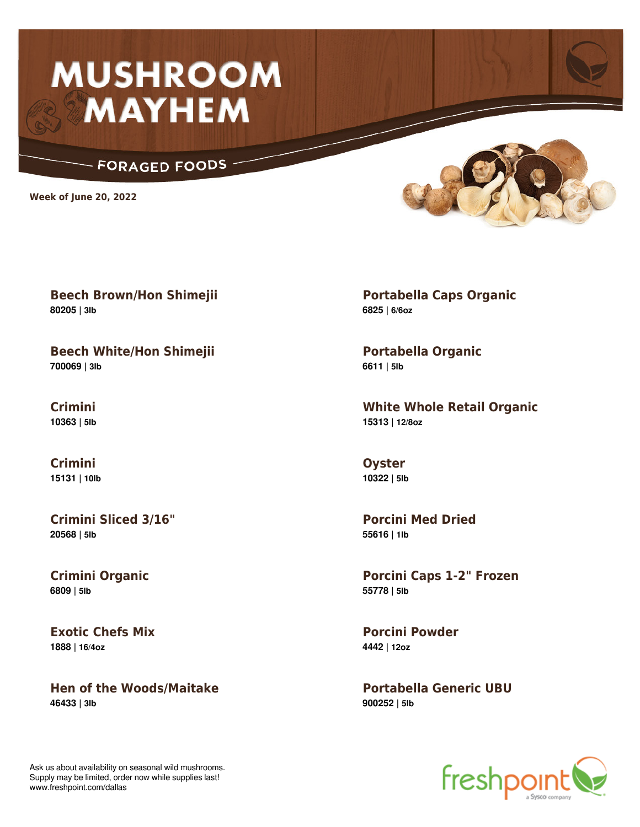## **MUSHROOM MAYHEM**

## **FORAGED FOODS**

**Week of June 20, 2022**

**Beech Brown/Hon Shimejii 80205 | 3lb**

**Beech White/Hon Shimejii 700069 | 3lb**

**Crimini 10363 | 5lb**

**Crimini 15131 | 10lb**

**Crimini Sliced 3/16" 20568 | 5lb**

**Crimini Organic 6809 | 5lb**

**Exotic Chefs Mix 1888 | 16/4oz**

**Hen of the Woods/Maitake 46433 | 3lb**

**Portabella Caps Organic 6825 | 6/6oz**

**Portabella Organic 6611 | 5lb**

**White Whole Retail Organic 15313 | 12/8oz**

**Oyster 10322 | 5lb**

**Porcini Med Dried 55616 | 1lb**

**Porcini Caps 1-2" Frozen 55778 | 5lb**

**Porcini Powder 4442 | 12oz**

**Portabella Generic UBU 900252 | 5lb**



Ask us about availability on seasonal wild mushrooms. Supply may be limited, order now while supplies last! www.freshpoint.com/dallas